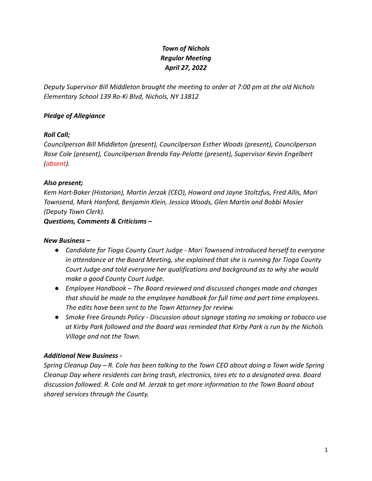# *Town of Nichols Regular Meeting April 27, 2022*

*Deputy Supervisor Bill Middleton brought the meeting to order at 7:00 pm at the old Nichols Elementary School 139 Ro-Ki Blvd, Nichols, NY 13812*

### *Pledge of Allegiance*

#### *Roll Call;*

*Councilperson Bill Middleton (present), Councilperson Esther Woods (present), Councilperson Rose Cole (present), Councilperson Brenda Fay-Pelotte (present), Supervisor Kevin Engelbert (absent).*

#### *Also present;*

*Kem Hart-Baker (Historian), Martin Jerzak (CEO), Howard and Jayne Stoltzfus, Fred Allis, Mari Townsend, Mark Hanford, Benjamin Klein, Jessica Woods, Glen Martin and Bobbi Mosier (Deputy Town Clerk).*

*Questions, Comments & Criticisms –*

### *New Business –*

- *● Candidate for Tioga County Court Judge Mari Townsend introduced herself to everyone in attendance at the Board Meeting, she explained that she is running for Tioga County Court Judge and told everyone her qualifications and background as to why she would make a good County Court Judge.*
- *● Employee Handbook The Board reviewed and discussed changes made and changes that should be made to the employee handbook for full time and part time employees. The edits have been sent to the Town Attorney for review.*
- *● Smoke Free Grounds Policy Discussion about signage stating no smoking or tobacco use at Kirby Park followed and the Board was reminded that Kirby Park is run by the Nichols Village and not the Town.*

# *Additional New Business -*

*Spring Cleanup Day – R. Cole has been talking to the Town CEO about doing a Town wide Spring Cleanup Day where residents can bring trash, electronics, tires etc to a designated area. Board discussion followed. R. Cole and M. Jerzak to get more information to the Town Board about shared services through the County.*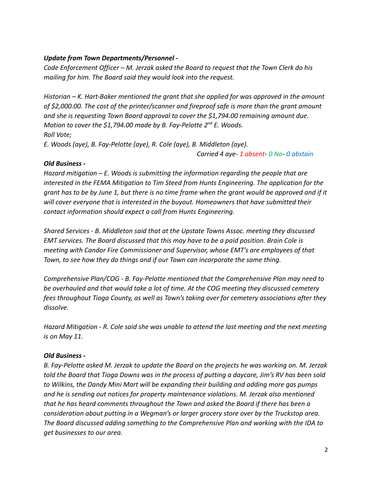## *Update from Town Departments/Personnel -*

*Code Enforcement Officer – M. Jerzak asked the Board to request that the Town Clerk do his mailing for him. The Board said they would look into the request.*

*Historian – K. Hart-Baker mentioned the grant that she applied for was approved in the amount of \$2,000.00. The cost of the printer/scanner and fireproof safe is more than the grant amount and she is requesting Town Board approval to cover the \$1,794.00 remaining amount due. Motion to cover the \$1,794.00 made by B. Fay-Pelotte 2nd E. Woods. Roll Vote;*

*E. Woods (aye), B. Fay-Pelotte (aye), R. Cole (aye), B. Middleton (aye).*

*Carried 4 aye- 1 absent- 0 No- 0 abstain*

#### *Old Business -*

*Hazard mitigation – E. Woods is submitting the information regarding the people that are interested in the FEMA Mitigation to Tim Steed from Hunts Engineering. The application for the grant has to be by June 1, but there is no time frame when the grant would be approved and if it will cover everyone that is interested in the buyout. Homeowners that have submitted their contact information should expect a call from Hunts Engineering.*

*Shared Services - B. Middleton said that at the Upstate Towns Assoc. meeting they discussed EMT services. The Board discussed that this may have to be a paid position. Brain Cole is meeting with Candor Fire Commissioner and Supervisor, whose EMT's are employees of that Town, to see how they do things and if our Town can incorporate the same thing.*

*Comprehensive Plan/COG - B. Fay-Pelotte mentioned that the Comprehensive Plan may need to be overhauled and that would take a lot of time. At the COG meeting they discussed cemetery fees throughout Tioga County, as well as Town's taking over for cemetery associations after they dissolve.*

*Hazard Mitigation - R. Cole said she was unable to attend the last meeting and the next meeting is on May 11.*

# *Old Business -*

*B. Fay-Pelotte asked M. Jerzak to update the Board on the projects he was working on. M. Jerzak told the Board that Tioga Downs was in the process of putting a daycare, Jim's RV has been sold to Wilkins, the Dandy Mini Mart will be expanding their building and adding more gas pumps and he is sending out notices for property maintenance violations. M. Jerzak also mentioned that he has heard comments throughout the Town and asked the Board if there has been a consideration about putting in a Wegman's or larger grocery store over by the Truckstop area. The Board discussed adding something to the Comprehensive Plan and working with the IDA to get businesses to our area.*